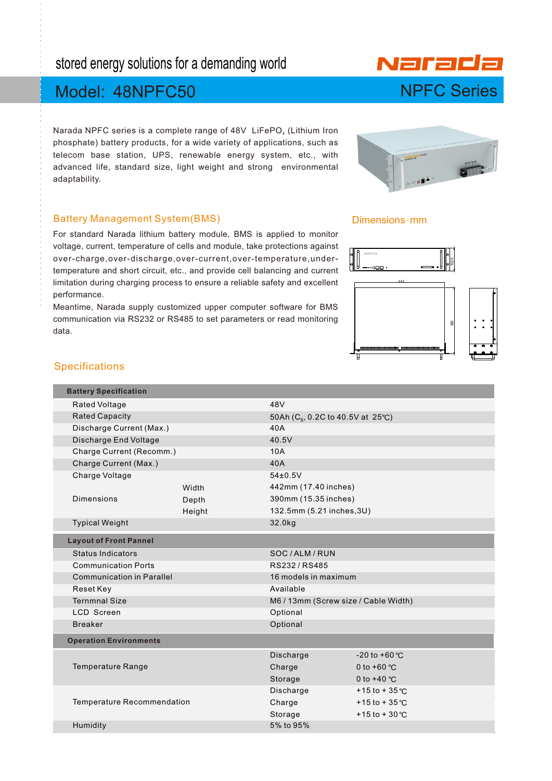# stored energy solutions for a demanding world

# Model: 48NPFC50

Narada NPFC series is a complete range of 48V LiFePO<sub>4</sub> (Lithium Iron phosphate) battery products, for a wide variety of applications, such as telecom base station, UPS, renewable energy system, etc., with advanced life, standard size, light weight and strong environmental adaptability.

#### Battery Management System(BMS)

For standard Narada lithium battery module, BMS is applied to monitor voltage, current, temperature of cells and module, take protections against over-charge,over-discharge,over-current,over-temperature,undertemperature and short circuit, etc., and provide cell balancing and current limitation during charging process to ensure a reliable safety and excellent performance.

Meantime, Narada supply customized upper computer software for BMS communication via RS232 or RS485 to set parameters or read monitoring data.

#### Dimensions-mm



### Specifications

| <b>Battery Specification</b>      |        |                                               |                   |  |  |  |
|-----------------------------------|--------|-----------------------------------------------|-------------------|--|--|--|
| Rated Voltage                     |        | 48V                                           |                   |  |  |  |
| <b>Rated Capacity</b>             |        | 50Ah (C <sub>5</sub> , 0.2C to 40.5V at 25°C) |                   |  |  |  |
| Discharge Current (Max.)          |        | 40A                                           |                   |  |  |  |
| Discharge End Voltage             |        | 40.5V                                         |                   |  |  |  |
| Charge Current (Recomm.)          |        | 10A                                           |                   |  |  |  |
| Charge Current (Max.)             |        | 40A                                           |                   |  |  |  |
| Charge Voltage                    |        | $54\pm0.5V$                                   |                   |  |  |  |
|                                   | Width  | 442mm (17.40 inches)                          |                   |  |  |  |
| <b>Dimensions</b>                 | Depth  | 390mm (15.35 inches)                          |                   |  |  |  |
|                                   | Height | 132.5mm (5.21 inches, 3U)                     |                   |  |  |  |
| <b>Typical Weight</b>             |        | 32.0kg                                        |                   |  |  |  |
| <b>Layout of Front Pannel</b>     |        |                                               |                   |  |  |  |
| Status Indicators                 |        | SOC/ALM/RUN                                   |                   |  |  |  |
| <b>Communication Ports</b>        |        | RS232/RS485                                   |                   |  |  |  |
| <b>Communication in Parallel</b>  |        | 16 models in maximum                          |                   |  |  |  |
| Reset Key                         |        | Available                                     |                   |  |  |  |
| <b>Ternmnal Size</b>              |        | M6/13mm (Screw size / Cable Width)            |                   |  |  |  |
| <b>LCD Screen</b>                 |        | Optional                                      |                   |  |  |  |
| <b>Breaker</b>                    |        | Optional                                      |                   |  |  |  |
| <b>Operation Environments</b>     |        |                                               |                   |  |  |  |
|                                   |        | Discharge                                     | $-20$ to $+60$ °C |  |  |  |
| <b>Temperature Range</b>          |        | Charge                                        | 0 to +60 $°C$     |  |  |  |
|                                   |        | Storage                                       | 0 to $+40$ °C     |  |  |  |
|                                   |        | Discharge                                     | +15 to +35 °C     |  |  |  |
| <b>Temperature Recommendation</b> |        | Charge                                        | +15 to +35 °C     |  |  |  |
|                                   |        | Storage                                       | +15 to +30 °C     |  |  |  |
| Humidity                          |        | 5% to 95%                                     |                   |  |  |  |
|                                   |        |                                               |                   |  |  |  |